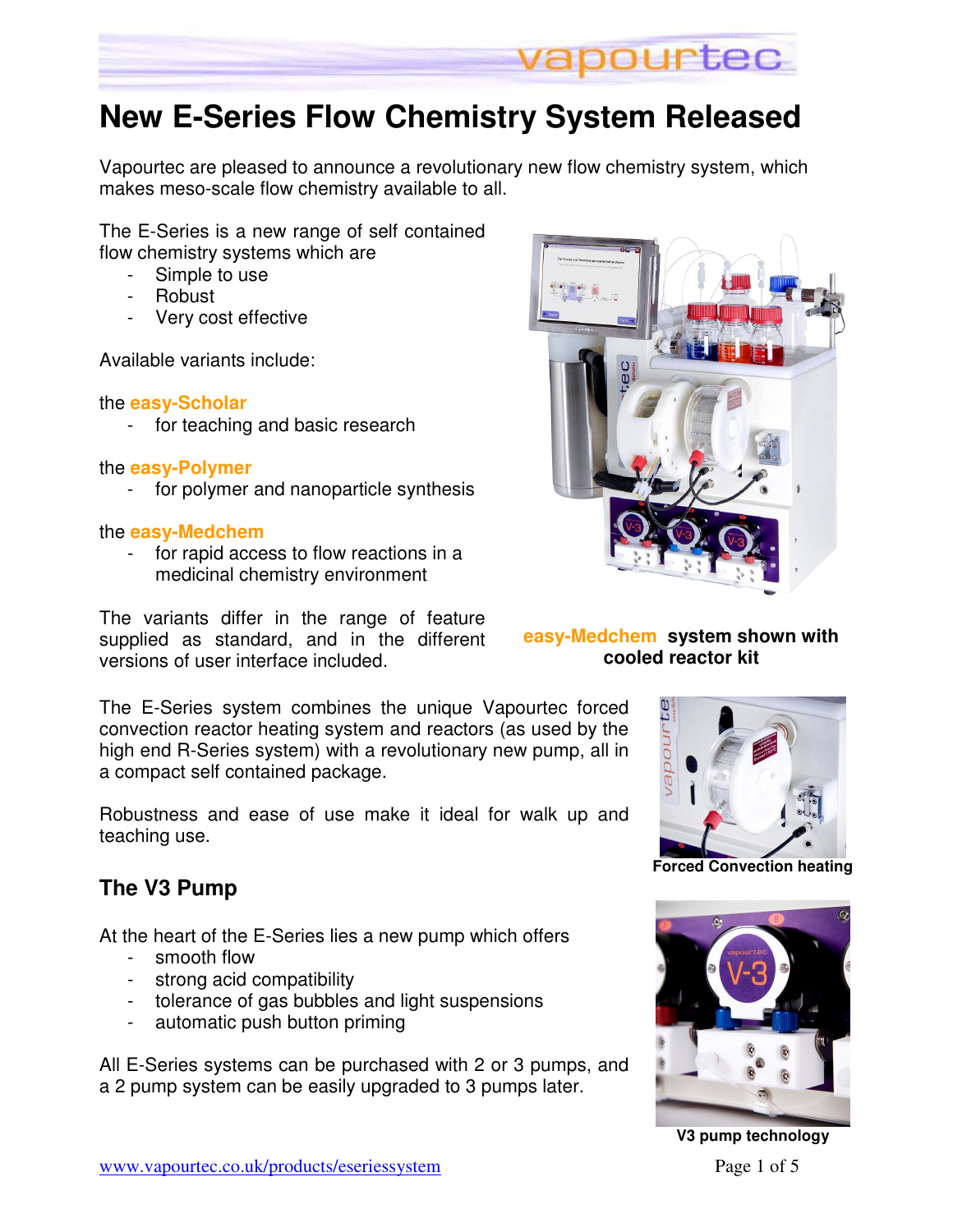

# **New E-Series Flow Chemistry System Released**

Vapourtec are pleased to announce a revolutionary new flow chemistry system, which makes meso-scale flow chemistry available to all.

The E-Series is a new range of self contained flow chemistry systems which are

- Simple to use
- Robust
- Very cost effective

Available variants include:

#### the **easy-Scholar**

- for teaching and basic research

#### the **easy-Polymer**

- for polymer and nanoparticle synthesis

#### the **easy-Medchem**

- for rapid access to flow reactions in a medicinal chemistry environment

The variants differ in the range of feature supplied as standard, and in the different versions of user interface included.

The E-Series system combines the unique Vapourtec forced convection reactor heating system and reactors (as used by the high end R-Series system) with a revolutionary new pump, all in a compact self contained package.

Robustness and ease of use make it ideal for walk up and teaching use.

### **The V3 Pump**

At the heart of the E-Series lies a new pump which offers

- smooth flow
- strong acid compatibility
- tolerance of gas bubbles and light suspensions
- automatic push button priming

All E-Series systems can be purchased with 2 or 3 pumps, and a 2 pump system can be easily upgraded to 3 pumps later.



**easy-Medchem system shown with cooled reactor kit**



**Forced Convection heating** 



**V3 pump technology**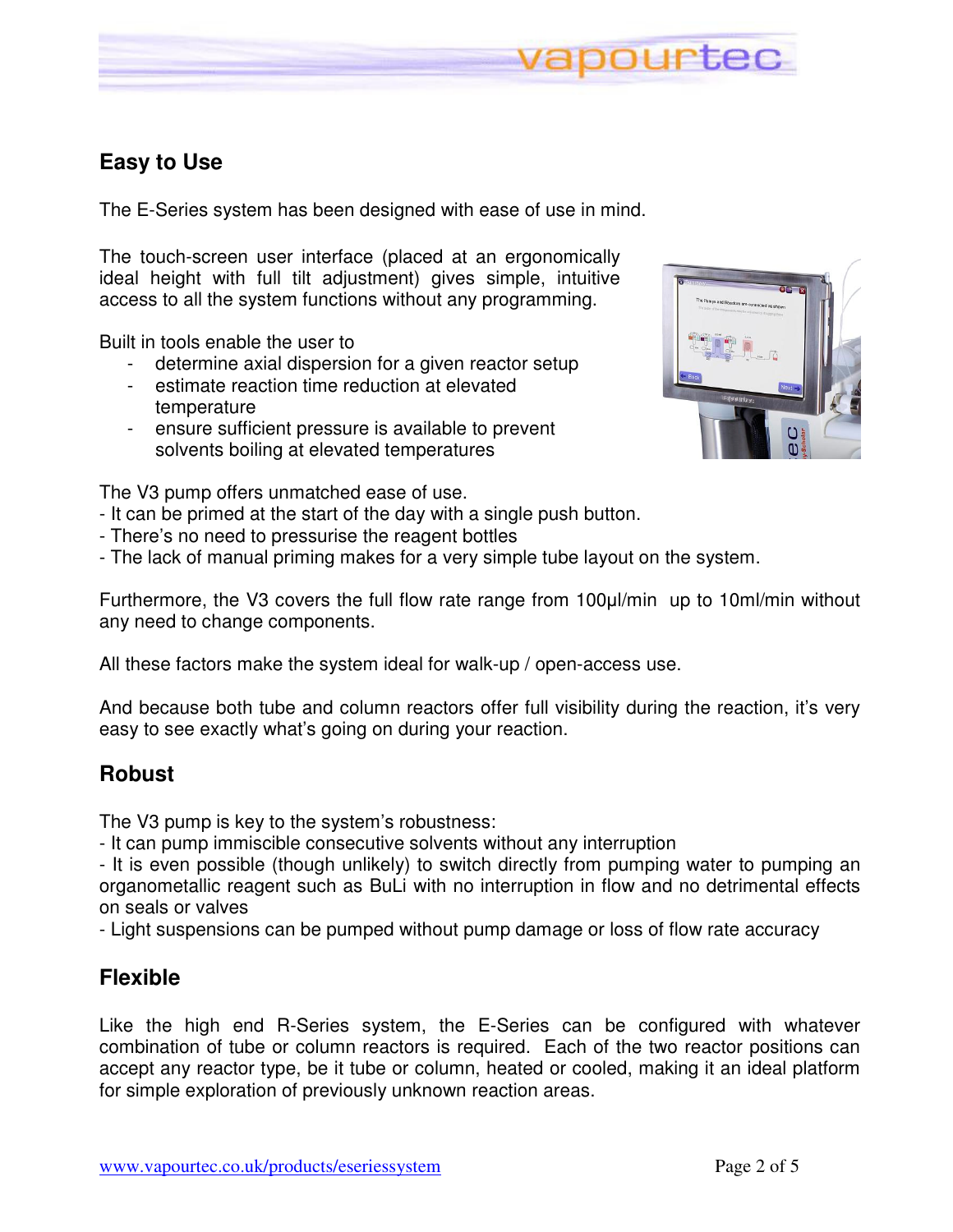## **Easy to Use**

The E-Series system has been designed with ease of use in mind.

The touch-screen user interface (placed at an ergonomically ideal height with full tilt adjustment) gives simple, intuitive access to all the system functions without any programming.

Built in tools enable the user to

- determine axial dispersion for a given reactor setup
- estimate reaction time reduction at elevated temperature
- ensure sufficient pressure is available to prevent solvents boiling at elevated temperatures



vapourtec

The V3 pump offers unmatched ease of use.

- It can be primed at the start of the day with a single push button.
- There's no need to pressurise the reagent bottles
- The lack of manual priming makes for a very simple tube layout on the system.

Furthermore, the V3 covers the full flow rate range from 100µl/min up to 10ml/min without any need to change components.

All these factors make the system ideal for walk-up / open-access use.

And because both tube and column reactors offer full visibility during the reaction, it's very easy to see exactly what's going on during your reaction.

### **Robust**

The V3 pump is key to the system's robustness:

- It can pump immiscible consecutive solvents without any interruption

- It is even possible (though unlikely) to switch directly from pumping water to pumping an organometallic reagent such as BuLi with no interruption in flow and no detrimental effects on seals or valves

- Light suspensions can be pumped without pump damage or loss of flow rate accuracy

### **Flexible**

Like the high end R-Series system, the E-Series can be configured with whatever combination of tube or column reactors is required. Each of the two reactor positions can accept any reactor type, be it tube or column, heated or cooled, making it an ideal platform for simple exploration of previously unknown reaction areas.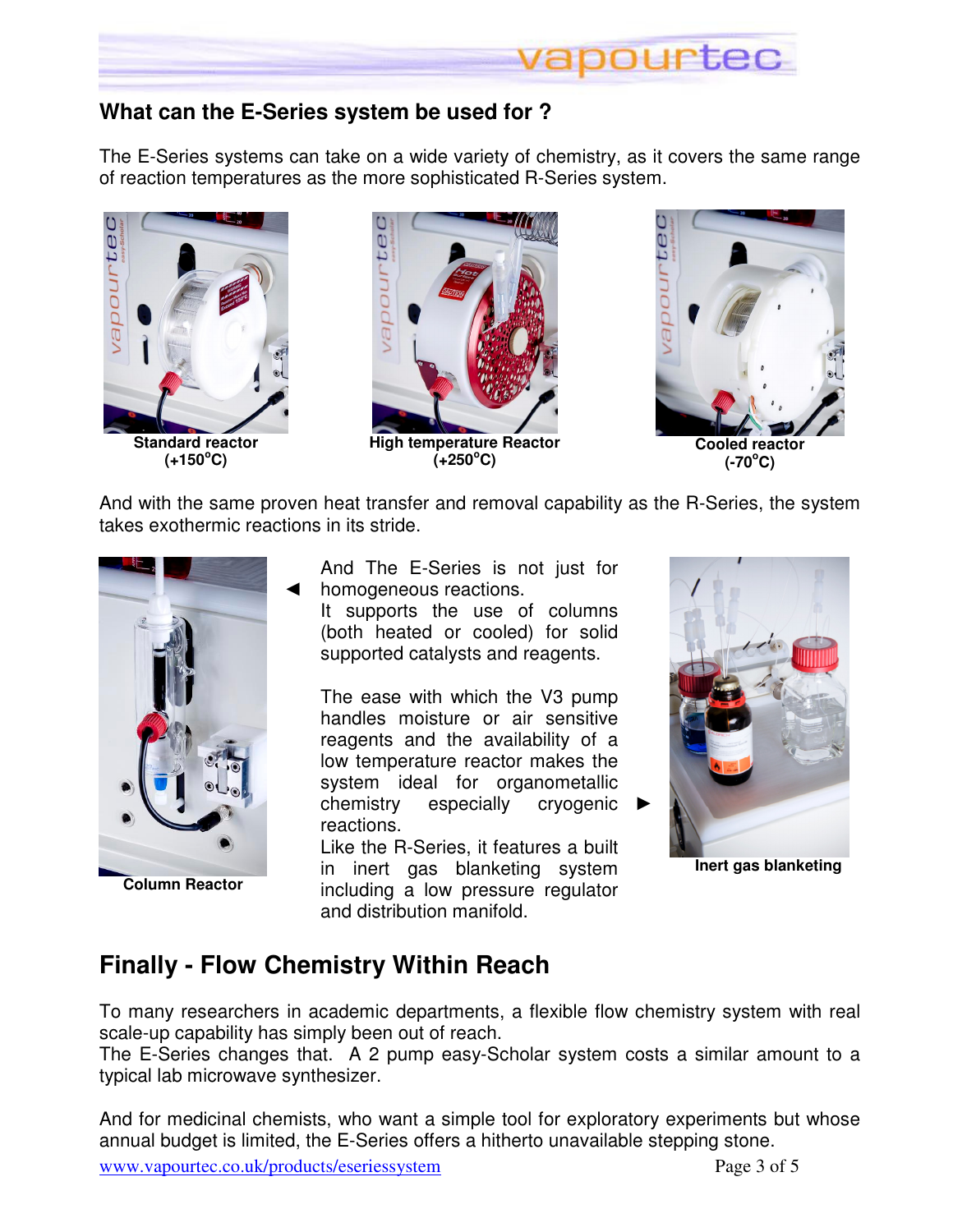

### **What can the E-Series system be used for ?**

The E-Series systems can take on a wide variety of chemistry, as it covers the same range of reaction temperatures as the more sophisticated R-Series system.





**High temperature Reactor (+250<sup>o</sup>C)** 



And with the same proven heat transfer and removal capability as the R-Series, the system takes exothermic reactions in its stride.



**Column Reactor** 

And The E-Series is not just for homogeneous reactions.

It supports the use of columns (both heated or cooled) for solid supported catalysts and reagents.

The ease with which the V3 pump handles moisture or air sensitive reagents and the availability of a low temperature reactor makes the system ideal for organometallic chemistry especially cryogenic reactions.

Like the R-Series, it features a built in inert gas blanketing system including a low pressure regulator and distribution manifold.



►

**Inert gas blanketing**

# **Finally - Flow Chemistry Within Reach**

◄

To many researchers in academic departments, a flexible flow chemistry system with real scale-up capability has simply been out of reach.

The E-Series changes that. A 2 pump easy-Scholar system costs a similar amount to a typical lab microwave synthesizer.

And for medicinal chemists, who want a simple tool for exploratory experiments but whose annual budget is limited, the E-Series offers a hitherto unavailable stepping stone.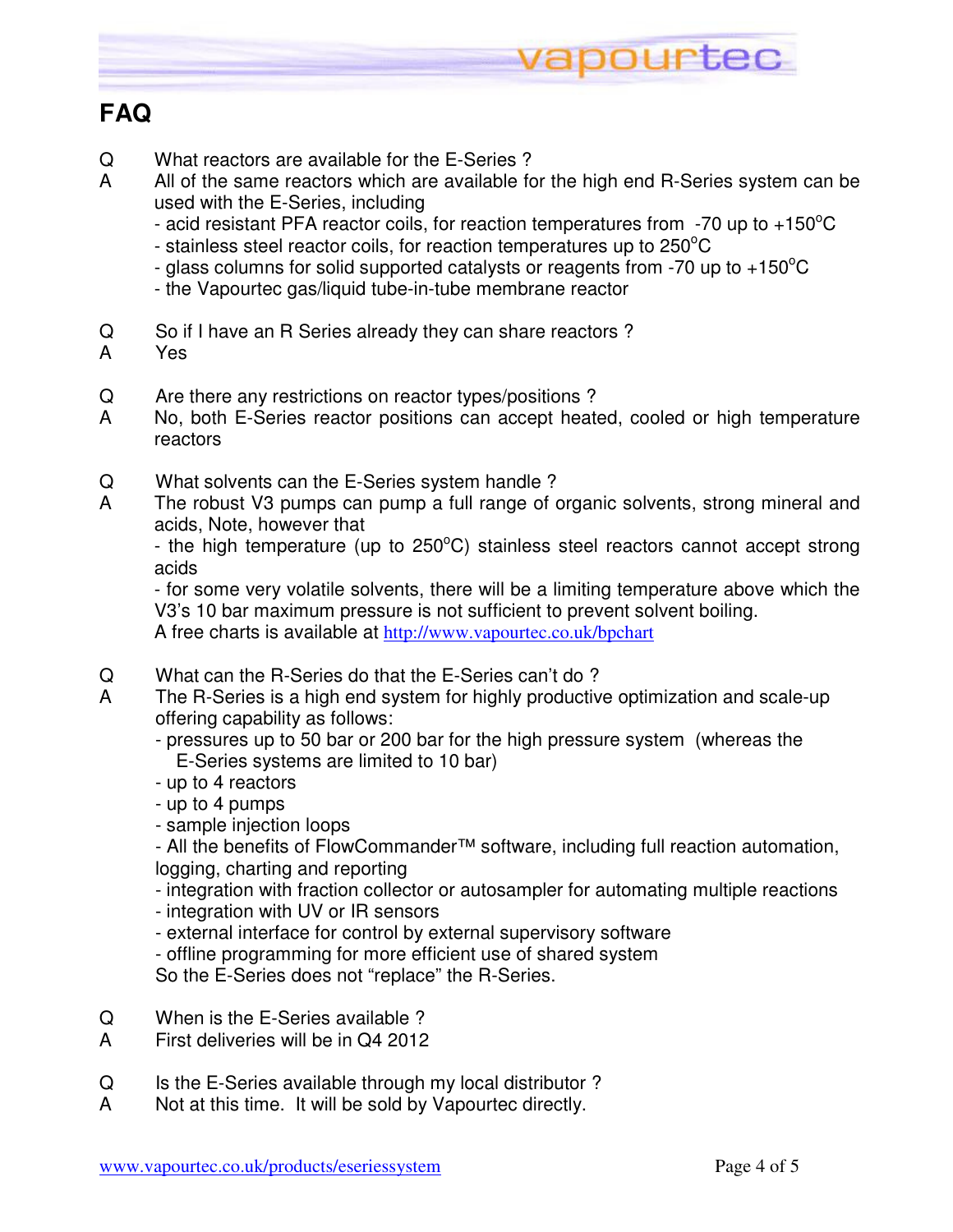

# **FAQ**

- Q What reactors are available for the E-Series ?
- A All of the same reactors which are available for the high end R-Series system can be used with the E-Series, including
	- acid resistant PFA reactor coils, for reaction temperatures from  $-70$  up to  $+150^{\circ}$ C
	- stainless steel reactor coils, for reaction temperatures up to 250°C
	- glass columns for solid supported catalysts or reagents from -70 up to  $+150^{\circ}$ C
	- the Vapourtec gas/liquid tube-in-tube membrane reactor
- Q So if I have an R Series already they can share reactors ?
- A Yes
- Q Are there any restrictions on reactor types/positions ?
- A No, both E-Series reactor positions can accept heated, cooled or high temperature reactors
- Q What solvents can the E-Series system handle ?
- A The robust V3 pumps can pump a full range of organic solvents, strong mineral and acids, Note, however that

- the high temperature (up to  $250^{\circ}$ C) stainless steel reactors cannot accept strong acids

 - for some very volatile solvents, there will be a limiting temperature above which the V3's 10 bar maximum pressure is not sufficient to prevent solvent boiling. A free charts is available at http://www.vapourtec.co.uk/bpchart

- Q What can the R-Series do that the E-Series can't do ?
- A The R-Series is a high end system for highly productive optimization and scale-up offering capability as follows:
	- pressures up to 50 bar or 200 bar for the high pressure system (whereas the E-Series systems are limited to 10 bar)
	- up to 4 reactors
	- up to 4 pumps
	- sample injection loops

 - All the benefits of FlowCommander™ software, including full reaction automation, logging, charting and reporting

- integration with fraction collector or autosampler for automating multiple reactions

- integration with UV or IR sensors
- external interface for control by external supervisory software
- offline programming for more efficient use of shared system

So the E-Series does not "replace" the R-Series.

- Q When is the E-Series available ?
- A First deliveries will be in Q4 2012
- Q Is the E-Series available through my local distributor?
- A Not at this time. It will be sold by Vapourtec directly.